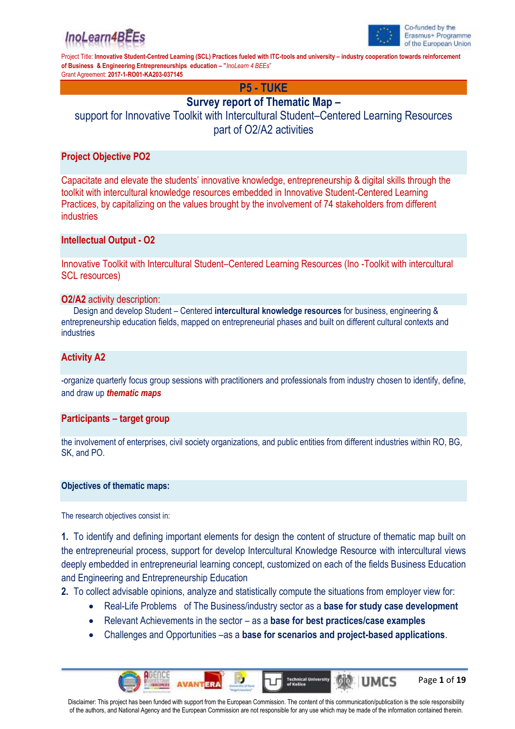



Page **1** of **19**

UMCS

Project Title: **Innovative Student-Centred Learning (SCL) Practices fueled with ITC-tools and university – industry cooperation towards reinforcement of Business & Engineering Entrepreneurships education – "***InoLearn 4 BEEs*" Grant Agreement: **2017-1-RO01-KA203-037145**

**P5 - TUKE**

## **Survey report of Thematic Map –**

support for Innovative Toolkit with Intercultural Student–Centered Learning Resources part of O2/A2 activities

## **Project Objective PO2**

Capacitate and elevate the students' innovative knowledge, entrepreneurship & digital skills through the toolkit with intercultural knowledge resources embedded in Innovative Student-Centered Learning Practices, by capitalizing on the values brought by the involvement of 74 stakeholders from different industries

## **Intellectual Output - O2**

Innovative Toolkit with Intercultural Student–Centered Learning Resources (Ino -Toolkit with intercultural SCL resources)

### **O2/A2** activity description:

Design and develop Student – Centered **intercultural knowledge resources** for business, engineering & entrepreneurship education fields, mapped on entrepreneurial phases and built on different cultural contexts and industries

## **Activity A2**

-organize quarterly focus group sessions with practitioners and professionals from industry chosen to identify, define, and draw up *thematic maps*

### **Participants – target group**

the involvement of enterprises, civil society organizations, and public entities from different industries within RO, BG, SK, and PO.

### **Objectives of thematic maps:**

The research objectives consist in:

**1.** To identify and defining important elements for design the content of structure of thematic map built on the entrepreneurial process, support for develop Intercultural Knowledge Resource with intercultural views deeply embedded in entrepreneurial learning concept, customized on each of the fields Business Education and Engineering and Entrepreneurship Education

**2.** To collect advisable opinions, analyze and statistically compute the situations from employer view for:

- Real-Life Problems of The Business/industry sector as a **base for study case development**
- Relevant Achievements in the sector as a **base for best practices/case examples**
- Challenges and Opportunities –as a **base for scenarios and project-based applications**.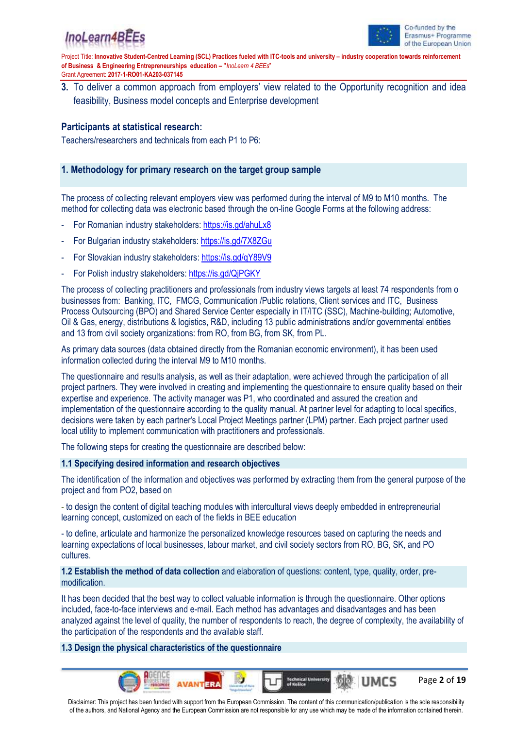



Page **2** of **19**

**UMCS** 

Project Title: **Innovative Student-Centred Learning (SCL) Practices fueled with ITC-tools and university – industry cooperation towards reinforcement of Business & Engineering Entrepreneurships education – "***InoLearn 4 BEEs*" Grant Agreement: **2017-1-RO01-KA203-037145**

**3.** To deliver a common approach from employers' view related to the Opportunity recognition and idea feasibility, Business model concepts and Enterprise development

## **Participants at statistical research:**

Teachers/researchers and technicals from each P1 to P6:

## **1. Methodology for primary research on the target group sample**

The process of collecting relevant employers view was performed during the interval of M9 to M10 months. The method for collecting data was electronic based through the on-line Google Forms at the following address:

- For Romanian industry stakeholders:<https://is.gd/ahuLx8>
- For Bulgarian industry stakeholders: <https://is.gd/7X8ZGu>
- For Slovakian industry stakeholders:<https://is.gd/qY89V9>
- For Polish industry stakeholders: https://is.gd/QiPGKY

The process of collecting practitioners and professionals from industry views targets at least 74 respondents from o businesses from: Banking, ITC, FMCG, Communication /Public relations, Client services and ITC, Business Process Outsourcing (BPO) and Shared Service Center especially in IT/ITC (SSC), Machine-building; Automotive, Oil & Gas, energy, distributions & logistics, R&D, including 13 public administrations and/or governmental entities and 13 from civil society organizations: from RO, from BG, from SK, from PL.

As primary data sources (data obtained directly from the Romanian economic environment), it has been used information collected during the interval M9 to M10 months.

The questionnaire and results analysis, as well as their adaptation, were achieved through the participation of all project partners. They were involved in creating and implementing the questionnaire to ensure quality based on their expertise and experience. The activity manager was P1, who coordinated and assured the creation and implementation of the questionnaire according to the quality manual. At partner level for adapting to local specifics, decisions were taken by each partner's Local Project Meetings partner (LPM) partner. Each project partner used local utility to implement communication with practitioners and professionals.

The following steps for creating the questionnaire are described below:

### **1.1 Specifying desired information and research objectives**

The identification of the information and objectives was performed by extracting them from the general purpose of the project and from PO2, based on

- to design the content of digital teaching modules with intercultural views deeply embedded in entrepreneurial learning concept, customized on each of the fields in BEE education

- to define, articulate and harmonize the personalized knowledge resources based on capturing the needs and learning expectations of local businesses, labour market, and civil society sectors from RO, BG, SK, and PO cultures.

**1.2 Establish the method of data collection** and elaboration of questions: content, type, quality, order, premodification.

It has been decided that the best way to collect valuable information is through the questionnaire. Other options included, face-to-face interviews and e-mail. Each method has advantages and disadvantages and has been analyzed against the level of quality, the number of respondents to reach, the degree of complexity, the availability of the participation of the respondents and the available staff.

### **1.3 Design the physical characteristics of the questionnaire**

Disclaimer: This project has been funded with support from the European Commission. The content of this communication/publication is the sole responsibility of the authors, and National Agency and the European Commission are not responsible for any use which may be made of the information contained therein.

**Technical U**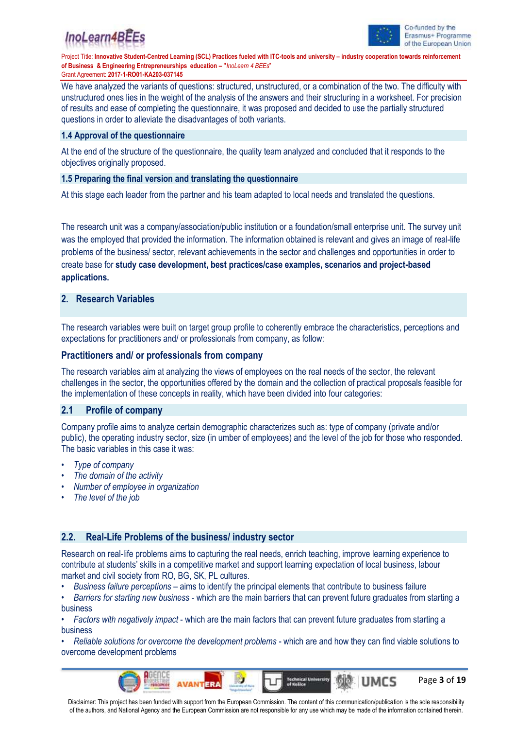



Page **3** of **19**

UMCS

Project Title: **Innovative Student-Centred Learning (SCL) Practices fueled with ITC-tools and university – industry cooperation towards reinforcement of Business & Engineering Entrepreneurships education – "***InoLearn 4 BEEs*" Grant Agreement: **2017-1-RO01-KA203-037145**

We have analyzed the variants of questions: structured, unstructured, or a combination of the two. The difficulty with unstructured ones lies in the weight of the analysis of the answers and their structuring in a worksheet. For precision of results and ease of completing the questionnaire, it was proposed and decided to use the partially structured questions in order to alleviate the disadvantages of both variants.

### **1.4 Approval of the questionnaire**

At the end of the structure of the questionnaire, the quality team analyzed and concluded that it responds to the objectives originally proposed.

#### **1.5 Preparing the final version and translating the questionnaire**

At this stage each leader from the partner and his team adapted to local needs and translated the questions.

The research unit was a company/association/public institution or a foundation/small enterprise unit. The survey unit was the employed that provided the information. The information obtained is relevant and gives an image of real-life problems of the business/ sector, relevant achievements in the sector and challenges and opportunities in order to create base for **study case development, best practices/case examples, scenarios and project-based applications.**

## **2. Research Variables**

The research variables were built on target group profile to coherently embrace the characteristics, perceptions and expectations for practitioners and/ or professionals from company, as follow:

### **Practitioners and/ or professionals from company**

The research variables aim at analyzing the views of employees on the real needs of the sector, the relevant challenges in the sector, the opportunities offered by the domain and the collection of practical proposals feasible for the implementation of these concepts in reality, which have been divided into four categories:

### **2.1 Profile of company**

Company profile aims to analyze certain demographic characterizes such as: type of company (private and/or public), the operating industry sector, size (in umber of employees) and the level of the job for those who responded. The basic variables in this case it was:

- *Type of company*
- *• The domain of the activity*
- *• Number of employee in organization*
- *• The level of the job*

### **2.2. Real-Life Problems of the business/ industry sector**

Research on real-life problems aims to capturing the real needs, enrich teaching, improve learning experience to contribute at students' skills in a competitive market and support learning expectation of local business, labour market and civil society from RO, BG, SK, PL cultures.

• *Business failure perceptions* – aims to identify the principal elements that contribute to business failure

• *Barriers for starting new business* - which are the main barriers that can prevent future graduates from starting a business

• *Factors with negatively impact* - which are the main factors that can prevent future graduates from starting a business

• *Reliable solutions for overcome the development problems* - which are and how they can find viable solutions to overcome development problems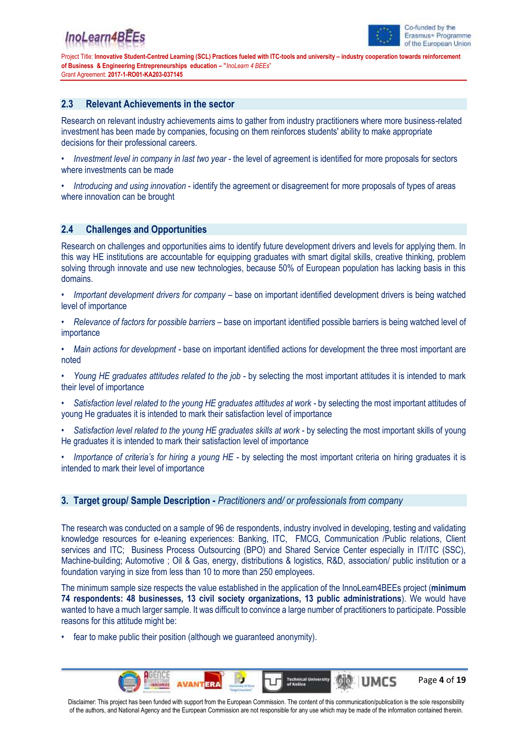

Page **4** of **19**

**UMCS** 

Project Title: **Innovative Student-Centred Learning (SCL) Practices fueled with ITC-tools and university – industry cooperation towards reinforcement of Business & Engineering Entrepreneurships education – "***InoLearn 4 BEEs*" Grant Agreement: **2017-1-RO01-KA203-037145**

### **2.3 Relevant Achievements in the sector**

Research on relevant industry achievements aims to gather from industry practitioners where more business-related investment has been made by companies, focusing on them reinforces students' ability to make appropriate decisions for their professional careers.

- *Investment level in company in last two year* the level of agreement is identified for more proposals for sectors where investments can be made
- *Introducing and using innovation* identify the agreement or disagreement for more proposals of types of areas where innovation can be brought

### **2.4 Challenges and Opportunities**

Research on challenges and opportunities aims to identify future development drivers and levels for applying them. In this way HE institutions are accountable for equipping graduates with smart digital skills, creative thinking, problem solving through innovate and use new technologies, because 50% of European population has lacking basis in this domains.

- *Important development drivers for company –* base on important identified development drivers is being watched level of importance
- *• Relevance of factors for possible barriers –* base on important identified possible barriers is being watched level of importance
- *• Main actions for development -* base on important identified actions for development the three most important are noted
- *• Young HE graduates attitudes related to the job* by selecting the most important attitudes it is intended to mark their level of importance
- *• Satisfaction level related to the young HE graduates attitudes at work -* by selecting the most important attitudes of young He graduates it is intended to mark their satisfaction level of importance
- *• Satisfaction level related to the young HE graduates skills at work* by selecting the most important skills of young He graduates it is intended to mark their satisfaction level of importance
- *• Importance of criteria's for hiring a young HE -* by selecting the most important criteria on hiring graduates it is intended to mark their level of importance

### **3. Target group/ Sample Description -** *Practitioners and/ or professionals from company*

The research was conducted on a sample of 96 de respondents, industry involved in developing, testing and validating knowledge resources for e-leaning experiences: Banking, ITC, FMCG, Communication /Public relations, Client services and ITC; Business Process Outsourcing (BPO) and Shared Service Center especially in IT/ITC (SSC), Machine-building; Automotive ; Oil & Gas, energy, distributions & logistics, R&D, association/ public institution or a foundation varying in size from less than 10 to more than 250 employees.

The minimum sample size respects the value established in the application of the InnoLearn4BEEs project (**minimum 74 respondents: 48 businesses, 13 civil society organizations, 13 public administrations**). We would have wanted to have a much larger sample. It was difficult to convince a large number of practitioners to participate. Possible reasons for this attitude might be:

• fear to make public their position (although we guaranteed anonymity).

**Technical U**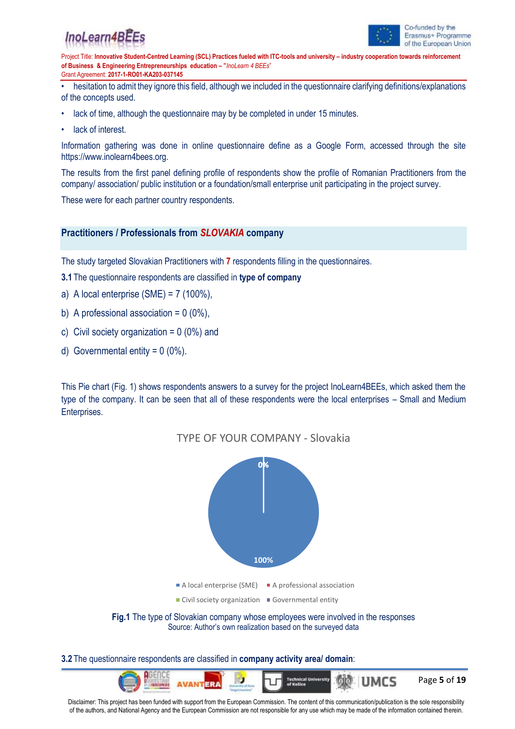## InoLearn4B



Project Title: **Innovative Student-Centred Learning (SCL) Practices fueled with ITC-tools and university – industry cooperation towards reinforcement of Business & Engineering Entrepreneurships education – "***InoLearn 4 BEEs*" Grant Agreement: **2017-1-RO01-KA203-037145**

• hesitation to admit they ignore this field, although we included in the questionnaire clarifying definitions/explanations of the concepts used.

- lack of time, although the questionnaire may by be completed in under 15 minutes.
- lack of interest.

Information gathering was done in online questionnaire define as a Google Form, accessed through the site https://www.inolearn4bees.org.

The results from the first panel defining profile of respondents show the profile of Romanian Practitioners from the company/ association/ public institution or a foundation/small enterprise unit participating in the project survey.

These were for each partner country respondents.

### **Practitioners / Professionals from** *SLOVAKIA* **company**

The study targeted Slovakian Practitioners with **7** respondents filling in the questionnaires.

**3.1** The questionnaire respondents are classified in **type of company**

- a) A local enterprise  $(SME) = 7 (100\%).$
- b) A professional association =  $0(0\%)$ ,
- c) Civil society organization =  $0(0\%)$  and
- d) Governmental entity =  $0(0\%)$ .

This Pie chart (Fig. 1) shows respondents answers to a survey for the project InoLearn4BEEs, which asked them the type of the company. It can be seen that all of these respondents were the local enterprises – Small and Medium Enterprises.



#### **3.2** The questionnaire respondents are classified in **company activity area/ domain**:

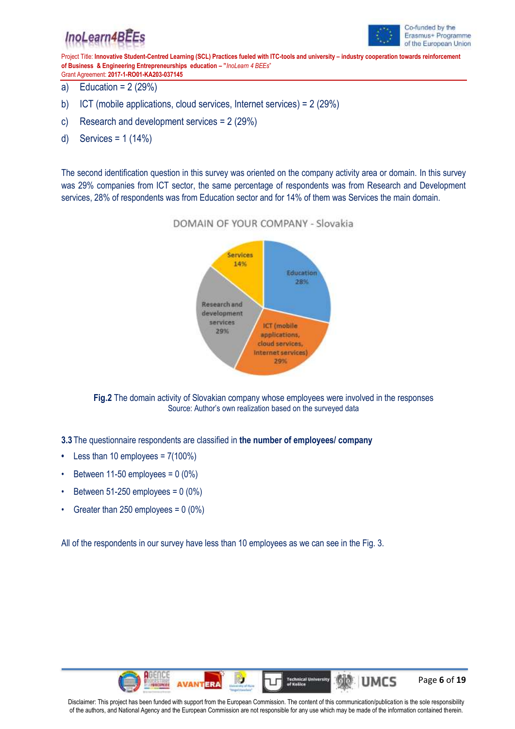## InoLearn4BEEs



Project Title: **Innovative Student-Centred Learning (SCL) Practices fueled with ITC-tools and university – industry cooperation towards reinforcement of Business & Engineering Entrepreneurships education – "***InoLearn 4 BEEs*"

Grant Agreement: **2017-1-RO01-KA203-037145** a) Education =  $2(29%)$ 

- b) ICT (mobile applications, cloud services, Internet services) = 2 (29%)
- c) Research and development services = 2 (29%)
- d) Services = 1 (14%)

The second identification question in this survey was oriented on the company activity area or domain. In this survey was 29% companies from ICT sector, the same percentage of respondents was from Research and Development services, 28% of respondents was from Education sector and for 14% of them was Services the main domain.



DOMAIN OF YOUR COMPANY - Slovakia

**Fig.2** The domain activity of Slovakian company whose employees were involved in the responses Source: Author's own realization based on the surveyed data

**3.3** The questionnaire respondents are classified in **the number of employees/ company**

- **•** Less than 10 employees = 7(100%)
- Between 11-50 employees =  $0(0\%)$
- Between  $51-250$  employees =  $0(0\%)$
- Greater than 250 employees =  $0(0\%)$

All of the respondents in our survey have less than 10 employees as we can see in the Fig. 3.

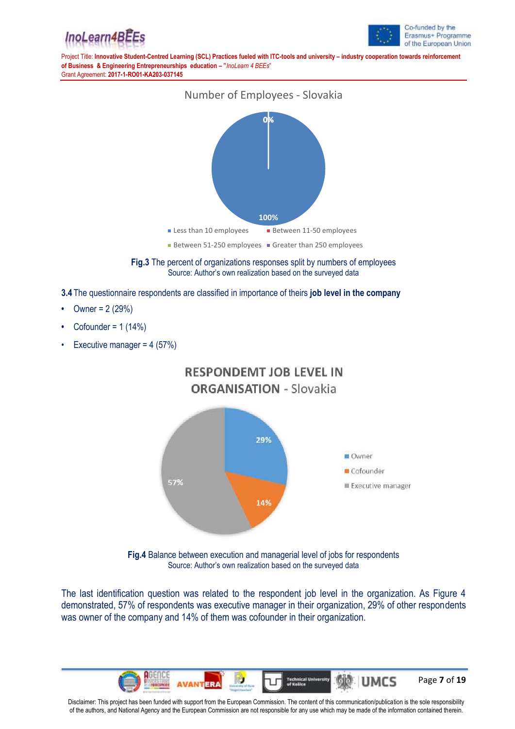





**Fig.3** The percent of organizations responses split by numbers of employees Source: Author's own realization based on the surveyed data

**3.4** The questionnaire respondents are classified in importance of theirs **job level in the company**

- **•** Owner = 2 (29%)
- **•** Cofounder = 1 (14%)
- Executive manager =  $4(57%)$





**Fig.4** Balance between execution and managerial level of jobs for respondents Source: Author's own realization based on the surveyed data

The last identification question was related to the respondent job level in the organization. As Figure 4 demonstrated, 57% of respondents was executive manager in their organization, 29% of other respondents was owner of the company and 14% of them was cofounder in their organization.

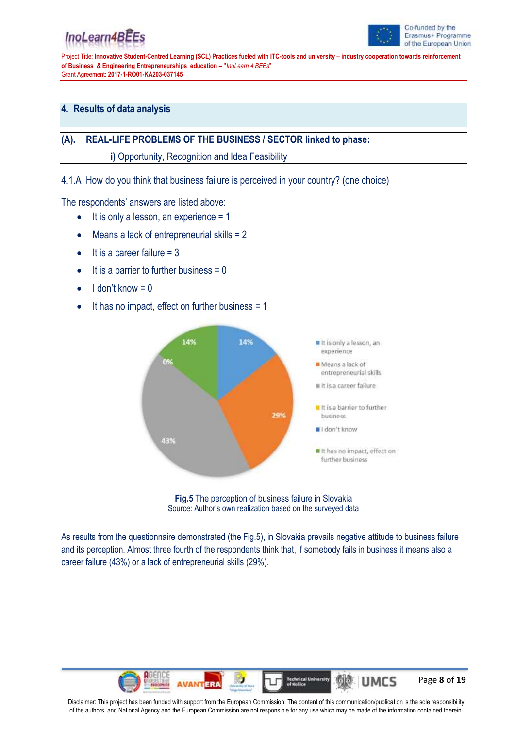# InoLearn4BE



Project Title: **Innovative Student-Centred Learning (SCL) Practices fueled with ITC-tools and university – industry cooperation towards reinforcement of Business & Engineering Entrepreneurships education – "***InoLearn 4 BEEs*" Grant Agreement: **2017-1-RO01-KA203-037145**

## **4. Results of data analysis**

## **(A). REAL-LIFE PROBLEMS OF THE BUSINESS / SECTOR linked to phase:**

**i)** Opportunity, Recognition and Idea Feasibility

4.1.A How do you think that business failure is perceived in your country? (one choice)

The respondents' answers are listed above:

- $\bullet$  It is only a lesson, an experience = 1
- Means a lack of entrepreneurial skills = 2
- $\bullet$  It is a career failure = 3
- $\bullet$  It is a barrier to further business = 0
- $\bullet$  I don't know = 0
- It has no impact, effect on further business = 1



**Fig.5** The perception of business failure in Slovakia Source: Author's own realization based on the surveyed data

As results from the questionnaire demonstrated (the Fig.5), in Slovakia prevails negative attitude to business failure and its perception. Almost three fourth of the respondents think that, if somebody fails in business it means also a career failure (43%) or a lack of entrepreneurial skills (29%).

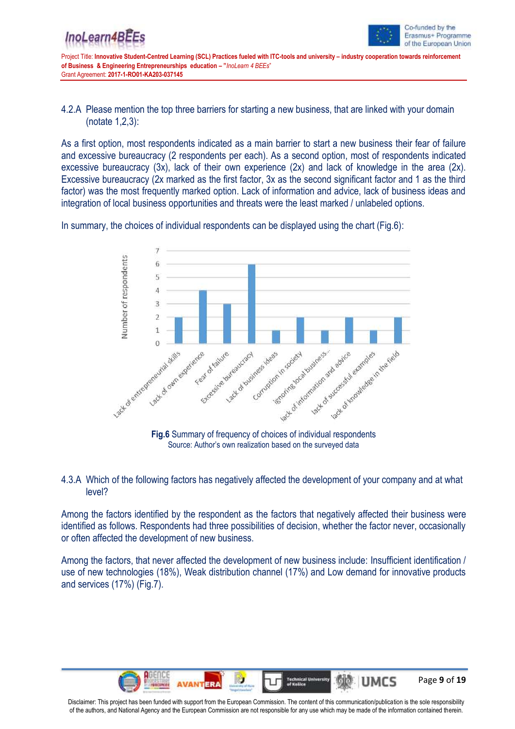

4.2.A Please mention the top three barriers for starting a new business, that are linked with your domain (notate 1,2,3):

As a first option, most respondents indicated as a main barrier to start a new business their fear of failure and excessive bureaucracy (2 respondents per each). As a second option, most of respondents indicated excessive bureaucracy (3x), lack of their own experience (2x) and lack of knowledge in the area (2x). Excessive bureaucracy (2x marked as the first factor, 3x as the second significant factor and 1 as the third factor) was the most frequently marked option. Lack of information and advice, lack of business ideas and integration of local business opportunities and threats were the least marked / unlabeled options.

In summary, the choices of individual respondents can be displayed using the chart (Fig.6):



### 4.3.A Which of the following factors has negatively affected the development of your company and at what level?

Among the factors identified by the respondent as the factors that negatively affected their business were identified as follows. Respondents had three possibilities of decision, whether the factor never, occasionally or often affected the development of new business.

Among the factors, that never affected the development of new business include: Insufficient identification / use of new technologies (18%), Weak distribution channel (17%) and Low demand for innovative products and services (17%) (Fig.7).

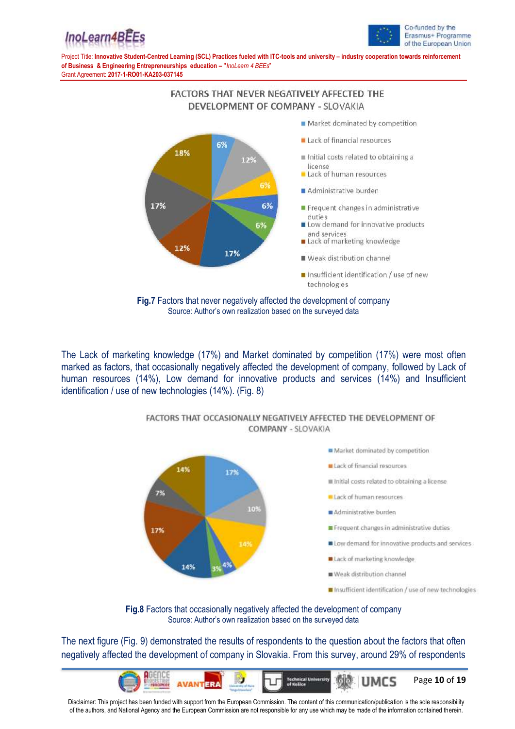



> **FACTORS THAT NEVER NEGATIVELY AFFECTED THE** DEVELOPMENT OF COMPANY - SLOVAKIA



## **Fig.7** Factors that never negatively affected the development of company Source: Author's own realization based on the surveyed data

The Lack of marketing knowledge (17%) and Market dominated by competition (17%) were most often marked as factors, that occasionally negatively affected the development of company, followed by Lack of human resources (14%), Low demand for innovative products and services (14%) and Insufficient identification / use of new technologies (14%). (Fig. 8)



### FACTORS THAT OCCASIONALLY NEGATIVELY AFFECTED THE DEVELOPMENT OF **COMPANY - SLOVAKIA**

**Fig.8** Factors that occasionally negatively affected the development of company Source: Author's own realization based on the surveyed data

The next figure (Fig. 9) demonstrated the results of respondents to the question about the factors that often negatively affected the development of company in Slovakia. From this survey, around 29% of respondents

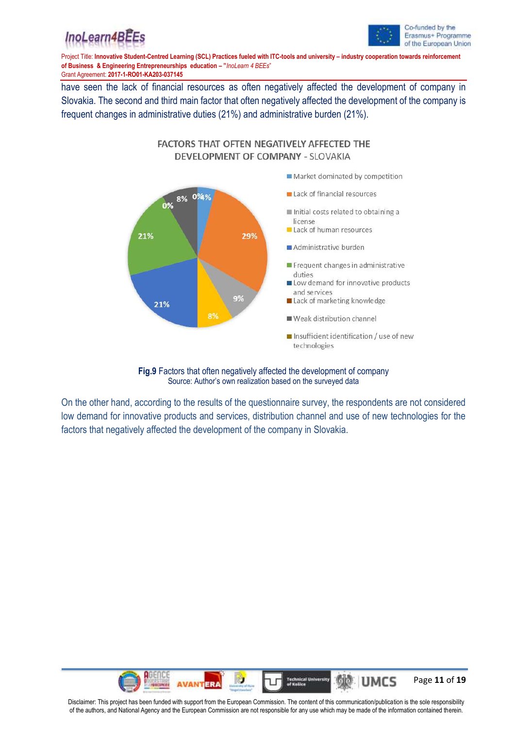



Grant Agreement: **2017-1-RO01-KA203-037145**

have seen the lack of financial resources as often negatively affected the development of company in Slovakia. The second and third main factor that often negatively affected the development of the company is frequent changes in administrative duties (21%) and administrative burden (21%).



**FACTORS THAT OFTEN NEGATIVELY AFFECTED THE** DEVELOPMENT OF COMPANY - SLOVAKIA

**Fig.9** Factors that often negatively affected the development of company Source: Author's own realization based on the surveyed data

On the other hand, according to the results of the questionnaire survey, the respondents are not considered low demand for innovative products and services, distribution channel and use of new technologies for the factors that negatively affected the development of the company in Slovakia.

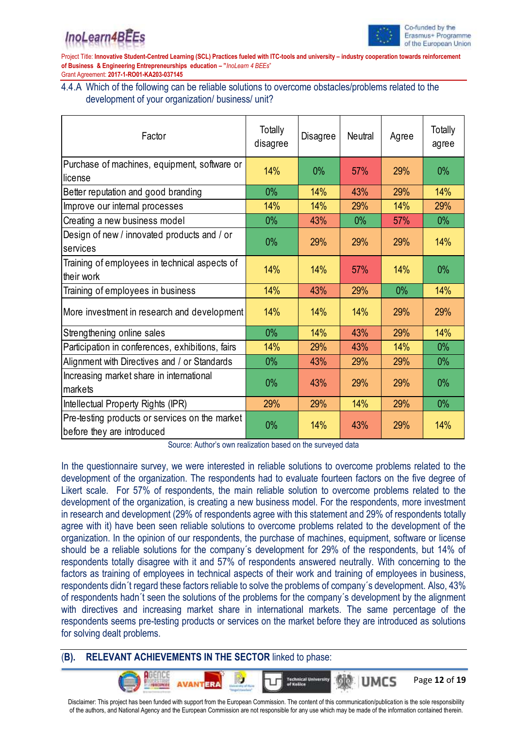

Page **12** of **19**

UMCS

Project Title: **Innovative Student-Centred Learning (SCL) Practices fueled with ITC-tools and university – industry cooperation towards reinforcement of Business & Engineering Entrepreneurships education – "***InoLearn 4 BEEs*" Grant Agreement: **2017-1-RO01-KA203-037145**

4.4.A Which of the following can be reliable solutions to overcome obstacles/problems related to the development of your organization/ business/ unit?

| Factor                                                                       | Totally<br>disagree | Disagree | Neutral | Agree | Totally<br>agree |
|------------------------------------------------------------------------------|---------------------|----------|---------|-------|------------------|
| Purchase of machines, equipment, software or                                 | 14%                 | 0%       | 57%     | 29%   | $0\%$            |
| license                                                                      |                     |          |         |       |                  |
| Better reputation and good branding                                          | $0\%$               | 14%      | 43%     | 29%   | 14%              |
| Improve our internal processes                                               | 14%                 | 14%      | 29%     | 14%   | 29%              |
| Creating a new business model                                                | $0\%$               | 43%      | $0\%$   | 57%   | $0\%$            |
| Design of new / innovated products and / or<br>services                      | $0\%$               | 29%      | 29%     | 29%   | 14%              |
| Training of employees in technical aspects of<br>their work                  | 14%                 | 14%      | 57%     | 14%   | $0\%$            |
| Training of employees in business                                            | 14%                 | 43%      | 29%     | $0\%$ | 14%              |
| More investment in research and development                                  | 14%                 | 14%      | 14%     | 29%   | 29%              |
| Strengthening online sales                                                   | $0\%$               | 14%      | 43%     | 29%   | 14%              |
| Participation in conferences, exhibitions, fairs                             | 14%                 | 29%      | 43%     | 14%   | $0\%$            |
| Alignment with Directives and / or Standards                                 | $0\%$               | 43%      | 29%     | 29%   | $0\%$            |
| Increasing market share in international<br>markets                          | $0\%$               | 43%      | 29%     | 29%   | $0\%$            |
| Intellectual Property Rights (IPR)                                           | 29%                 | 29%      | 14%     | 29%   | $0\%$            |
| Pre-testing products or services on the market<br>before they are introduced | $0\%$               | 14%      | 43%     | 29%   | 14%              |

Source: Author's own realization based on the surveyed data

In the questionnaire survey, we were interested in reliable solutions to overcome problems related to the development of the organization. The respondents had to evaluate fourteen factors on the five degree of Likert scale. For 57% of respondents, the main reliable solution to overcome problems related to the development of the organization, is creating a new business model. For the respondents, more investment in research and development (29% of respondents agree with this statement and 29% of respondents totally agree with it) have been seen reliable solutions to overcome problems related to the development of the organization. In the opinion of our respondents, the purchase of machines, equipment, software or license should be a reliable solutions for the company´s development for 29% of the respondents, but 14% of respondents totally disagree with it and 57% of respondents answered neutrally. With concerning to the factors as training of employees in technical aspects of their work and training of employees in business, respondents didn´t regard these factors reliable to solve the problems of company´s development. Also, 43% of respondents hadn´t seen the solutions of the problems for the company´s development by the alignment with directives and increasing market share in international markets. The same percentage of the respondents seems pre-testing products or services on the market before they are introduced as solutions for solving dealt problems.

## (**B). RELEVANT ACHIEVEMENTS IN THE SECTOR** linked to phase: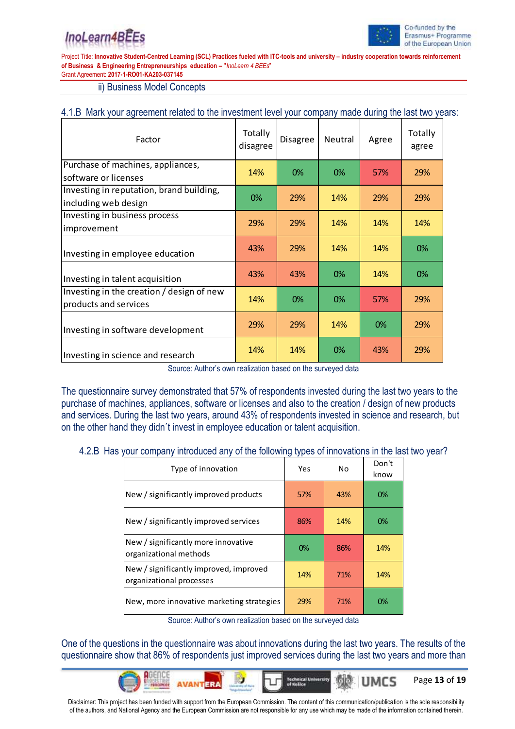# InoLearn4BE



Page **13** of **19**

UMCS

Project Title: **Innovative Student-Centred Learning (SCL) Practices fueled with ITC-tools and university – industry cooperation towards reinforcement of Business & Engineering Entrepreneurships education – "***InoLearn 4 BEEs*" Grant Agreement: **2017-1-RO01-KA203-037145**

ii) Business Model Concepts

## 4.1.B Mark your agreement related to the investment level your company made during the last two years:

| Factor                                                             | Totally<br>disagree | Disagree | <b>Neutral</b> | Agree      | Totally<br>agree |
|--------------------------------------------------------------------|---------------------|----------|----------------|------------|------------------|
| Purchase of machines, appliances,<br>software or licenses          | 14%                 | 0%       | 0%             | 57%        | 29%              |
| Investing in reputation, brand building,<br>including web design   | 0%                  | 29%      | <b>14%</b>     | 29%        | 29%              |
| Investing in business process<br>improvement                       | 29%                 | 29%      | 14%            | 14%        | 14%              |
| Investing in employee education                                    | 43%                 | 29%      | <b>14%</b>     | <b>14%</b> | 0%               |
| Investing in talent acquisition                                    | 43%                 | 43%      | 0%             | <b>14%</b> | 0%               |
| Investing in the creation / design of new<br>products and services | 14%                 | 0%       | 0%             | 57%        | 29%              |
| Investing in software development                                  | 29%                 | 29%      | 14%            | 0%         | 29%              |
| Investing in science and research                                  | 14%                 | 14%      | 0%             | 43%        | 29%              |

Source: Author's own realization based on the surveyed data

The questionnaire survey demonstrated that 57% of respondents invested during the last two years to the purchase of machines, appliances, software or licenses and also to the creation / design of new products and services. During the last two years, around 43% of respondents invested in science and research, but on the other hand they didn´t invest in employee education or talent acquisition.

### 4.2.B Has your company introduced any of the following types of innovations in the last two year?

| Type of innovation                                                 | Yes | No  | Don't<br>know |
|--------------------------------------------------------------------|-----|-----|---------------|
| New / significantly improved products                              | 57% | 43% | $0\%$         |
| New / significantly improved services                              | 86% | 14% | 0%            |
| New / significantly more innovative<br>organizational methods      | 0%  | 86% | 14%           |
| New / significantly improved, improved<br>organizational processes | 14% | 71% | 14%           |
| New, more innovative marketing strategies                          | 29% | 71% | 0%            |

Source: Author's own realization based on the surveyed data

One of the questions in the questionnaire was about innovations during the last two years. The results of the questionnaire show that 86% of respondents just improved services during the last two years and more than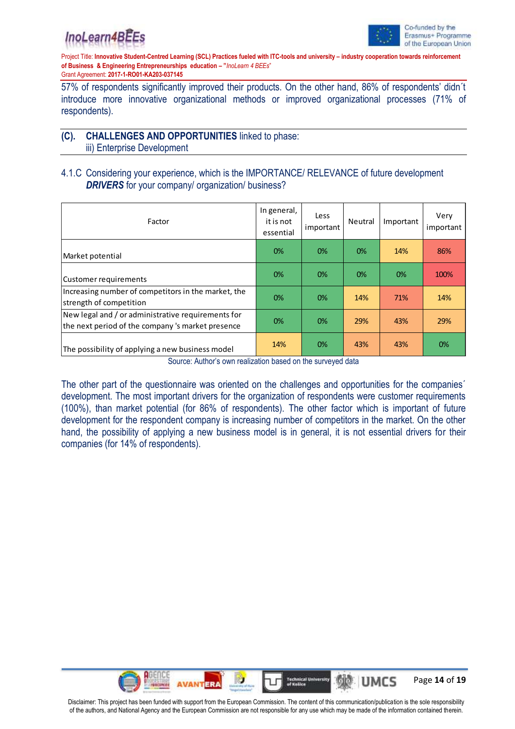



57% of respondents significantly improved their products. On the other hand, 86% of respondents' didn´t introduce more innovative organizational methods or improved organizational processes (71% of respondents).

## **(C). CHALLENGES AND OPPORTUNITIES** linked to phase:

iii) Enterprise Development

## 4.1.C Considering your experience, which is the IMPORTANCE/ RELEVANCE of future development **DRIVERS** for your company/ organization/ business?

| Factor                                                                                                  | In general,<br>it is not<br>essential | Less<br>important | Neutral | Important | Very<br>important |
|---------------------------------------------------------------------------------------------------------|---------------------------------------|-------------------|---------|-----------|-------------------|
| Market potential                                                                                        | 0%                                    | 0%                | 0%      | 14%       | 86%               |
| Customer requirements                                                                                   | 0%                                    | 0%                | 0%      | $0\%$     | 100%              |
| Increasing number of competitors in the market, the<br>strength of competition                          | 0%                                    | 0%                | 14%     | 71%       | 14%               |
| New legal and / or administrative requirements for<br>the next period of the company 's market presence | 0%                                    | 0%                | 29%     | 43%       | 29%               |
| The possibility of applying a new business model                                                        | 14%                                   | 0%                | 43%     | 43%       | 0%                |

Source: Author's own realization based on the surveyed data

The other part of the questionnaire was oriented on the challenges and opportunities for the companies´ development. The most important drivers for the organization of respondents were customer requirements (100%), than market potential (for 86% of respondents). The other factor which is important of future development for the respondent company is increasing number of competitors in the market. On the other hand, the possibility of applying a new business model is in general, it is not essential drivers for their companies (for 14% of respondents).

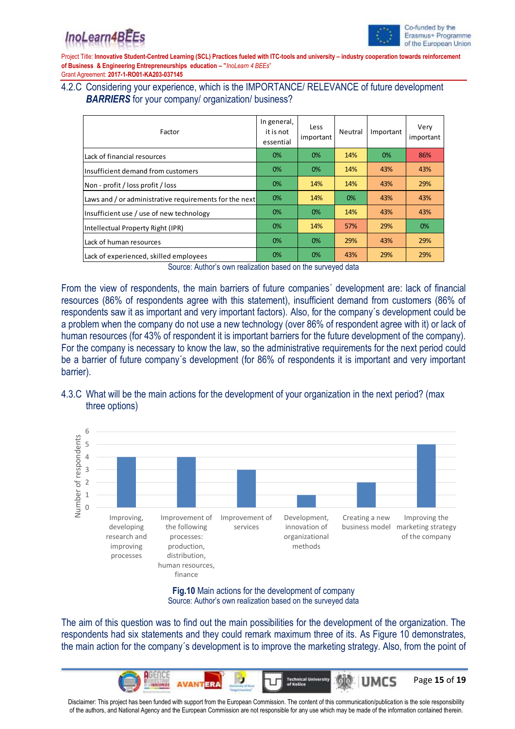

### 4.2.C Considering your experience, which is the IMPORTANCE/ RELEVANCE of future development **BARRIERS** for your company/ organization/ business?

| Factor                                                 | In general,<br>it is not<br>essential | Less<br>important | Neutral | Important | Very<br>important |
|--------------------------------------------------------|---------------------------------------|-------------------|---------|-----------|-------------------|
| Lack of financial resources                            | 0%                                    | 0%                | 14%     | 0%        | 86%               |
| Insufficient demand from customers                     | 0%                                    | 0%                | 14%     | 43%       | 43%               |
| Non - profit / loss profit / loss                      | 0%                                    | 14%               | 14%     | 43%       | 29%               |
| Laws and / or administrative requirements for the next | 0%                                    | 14%               | 0%      | 43%       | 43%               |
| Insufficient use / use of new technology               | 0%                                    | 0%                | 14%     | 43%       | 43%               |
| Intellectual Property Right (IPR)                      | 0%                                    | 14%               | 57%     | 29%       | 0%                |
| Lack of human resources                                | 0%                                    | 0%                | 29%     | 43%       | 29%               |
| Lack of experienced, skilled employees                 | 0%                                    | 0%                | 43%     | 29%       | 29%               |

Source: Author's own realization based on the surveyed data

From the view of respondents, the main barriers of future companies´ development are: lack of financial resources (86% of respondents agree with this statement), insufficient demand from customers (86% of respondents saw it as important and very important factors). Also, for the company´s development could be a problem when the company do not use a new technology (over 86% of respondent agree with it) or lack of human resources (for 43% of respondent it is important barriers for the future development of the company). For the company is necessary to know the law, so the administrative requirements for the next period could be a barrier of future company´s development (for 86% of respondents it is important and very important barrier).

## 4.3.C What will be the main actions for the development of your organization in the next period? (max three options)



### **Fig.10** Main actions for the development of company Source: Author's own realization based on the surveyed data

The aim of this question was to find out the main possibilities for the development of the organization. The respondents had six statements and they could remark maximum three of its. As Figure 10 demonstrates, the main action for the company´s development is to improve the marketing strategy. Also, from the point of

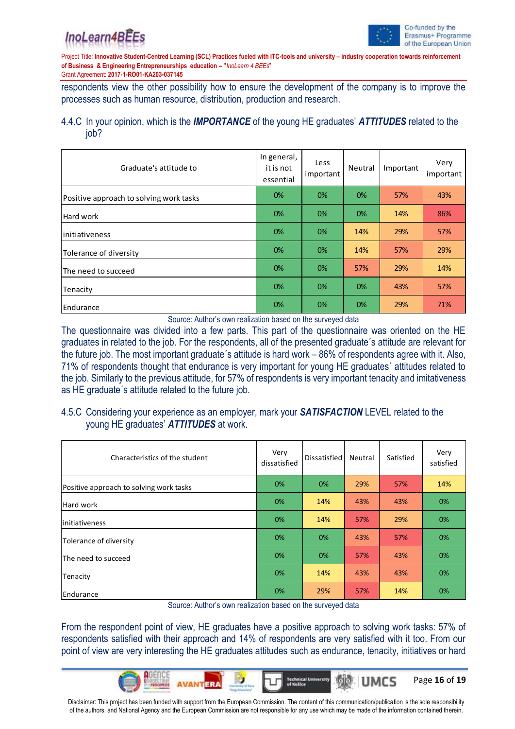



Page **16** of **19**

UMCS

Project Title: Innovative Student-Centred Learning (SCL) Practices fueled with ITC-tools and university - industry cooperation towards reinforcement **of Business & Engineering Entrepreneurships education – "***InoLearn 4 BEEs*"

Grant Agreement: **2017-1-RO01-KA203-037145**

respondents view the other possibility how to ensure the development of the company is to improve the processes such as human resource, distribution, production and research.

## 4.4.C In your opinion, which is the *IMPORTANCE* of the young HE graduates' *ATTITUDES* related to the job?

| Graduate's attitude to                  | In general,<br>it is not<br>essential | Less<br>important | Neutral | Important | Very<br>important |
|-----------------------------------------|---------------------------------------|-------------------|---------|-----------|-------------------|
| Positive approach to solving work tasks | 0%                                    | 0%                | 0%      | 57%       | 43%               |
| Hard work                               | 0%                                    | 0%                | 0%      | 14%       | 86%               |
| <i>initiativeness</i>                   | 0%                                    | 0%                | 14%     | 29%       | 57%               |
| Tolerance of diversity                  | 0%                                    | 0%                | 14%     | 57%       | 29%               |
| The need to succeed                     | 0%                                    | 0%                | 57%     | 29%       | 14%               |
| Tenacity                                | 0%                                    | 0%                | 0%      | 43%       | 57%               |
| Endurance                               | 0%                                    | 0%                | 0%      | 29%       | 71%               |

Source: Author's own realization based on the surveyed data

The questionnaire was divided into a few parts. This part of the questionnaire was oriented on the HE graduates in related to the job. For the respondents, all of the presented graduate´s attitude are relevant for the future job. The most important graduate´s attitude is hard work – 86% of respondents agree with it. Also, 71% of respondents thought that endurance is very important for young HE graduates´ attitudes related to the job. Similarly to the previous attitude, for 57% of respondents is very important tenacity and imitativeness as HE graduate´s attitude related to the future job.

## 4.5.C Considering your experience as an employer, mark your *SATISFACTION* LEVEL related to the young HE graduates' *ATTITUDES* at work.

| Characteristics of the student          | Very<br>dissatisfied | Dissatisfied | Neutral | Satisfied | Very<br>satisfied |
|-----------------------------------------|----------------------|--------------|---------|-----------|-------------------|
| Positive approach to solving work tasks | 0%                   | 0%           | 29%     | 57%       | 14%               |
| Hard work                               | 0%                   | 14%          | 43%     | 43%       | 0%                |
| linitiativeness                         | 0%                   | 14%          | 57%     | 29%       | 0%                |
| Tolerance of diversity                  | 0%                   | 0%           | 43%     | 57%       | 0%                |
| The need to succeed                     | 0%                   | 0%           | 57%     | 43%       | 0%                |
| Tenacity                                | 0%                   | 14%          | 43%     | 43%       | 0%                |
| Endurance                               | 0%                   | 29%          | 57%     | 14%       | 0%                |

Source: Author's own realization based on the surveyed data

From the respondent point of view, HE graduates have a positive approach to solving work tasks: 57% of respondents satisfied with their approach and 14% of respondents are very satisfied with it too. From our point of view are very interesting the HE graduates attitudes such as endurance, tenacity, initiatives or hard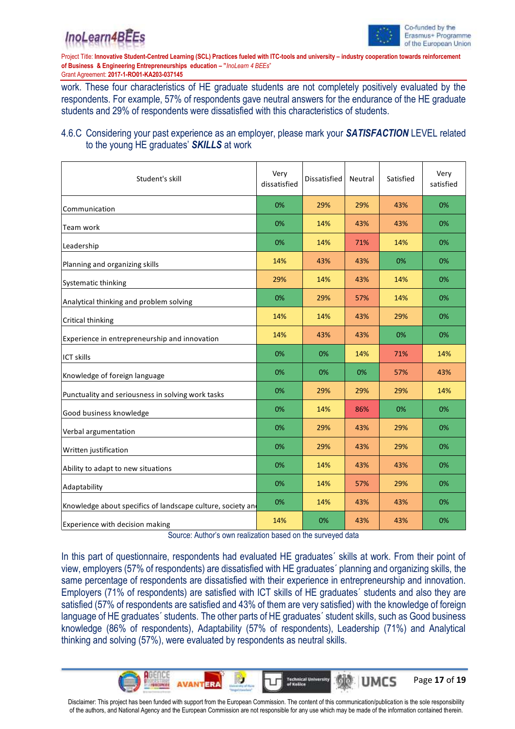



Page **17** of **19**

UMCS

Project Title: **Innovative Student-Centred Learning (SCL) Practices fueled with ITC-tools and university – industry cooperation towards reinforcement of Business & Engineering Entrepreneurships education – "***InoLearn 4 BEEs*"

Grant Agreement: **2017-1-RO01-KA203-037145**

work. These four characteristics of HE graduate students are not completely positively evaluated by the respondents. For example, 57% of respondents gave neutral answers for the endurance of the HE graduate students and 29% of respondents were dissatisfied with this characteristics of students.

## 4.6.C Considering your past experience as an employer, please mark your *SATISFACTION* LEVEL related to the young HE graduates' *SKILLS* at work

| Student's skill                                             | Very<br>dissatisfied | Dissatisfied | Neutral | Satisfied | Very<br>satisfied |
|-------------------------------------------------------------|----------------------|--------------|---------|-----------|-------------------|
| Communication                                               | 0%                   | 29%          | 29%     | 43%       | 0%                |
| Team work                                                   | 0%                   | 14%          | 43%     | 43%       | 0%                |
| Leadership                                                  | 0%                   | 14%          | 71%     | 14%       | 0%                |
| Planning and organizing skills                              | 14%                  | 43%          | 43%     | 0%        | 0%                |
| Systematic thinking                                         | 29%                  | 14%          | 43%     | 14%       | 0%                |
| Analytical thinking and problem solving                     | 0%                   | 29%          | 57%     | 14%       | 0%                |
| Critical thinking                                           | 14%                  | 14%          | 43%     | 29%       | 0%                |
| Experience in entrepreneurship and innovation               | 14%                  | 43%          | 43%     | 0%        | 0%                |
| <b>ICT skills</b>                                           | 0%                   | 0%           | 14%     | 71%       | 14%               |
| Knowledge of foreign language                               | 0%                   | 0%           | 0%      | 57%       | 43%               |
| Punctuality and seriousness in solving work tasks           | 0%                   | 29%          | 29%     | 29%       | 14%               |
| Good business knowledge                                     | 0%                   | 14%          | 86%     | 0%        | 0%                |
| Verbal argumentation                                        | 0%                   | 29%          | 43%     | 29%       | 0%                |
| Written justification                                       | 0%                   | 29%          | 43%     | 29%       | 0%                |
| Ability to adapt to new situations                          | 0%                   | 14%          | 43%     | 43%       | 0%                |
| Adaptability                                                | 0%                   | 14%          | 57%     | 29%       | 0%                |
| Knowledge about specifics of landscape culture, society and | 0%                   | 14%          | 43%     | 43%       | 0%                |
| Experience with decision making                             | 14%                  | 0%           | 43%     | 43%       | 0%                |

Source: Author's own realization based on the surveyed data

In this part of questionnaire, respondents had evaluated HE graduates' skills at work. From their point of view, employers (57% of respondents) are dissatisfied with HE graduates´ planning and organizing skills, the same percentage of respondents are dissatisfied with their experience in entrepreneurship and innovation. Employers (71% of respondents) are satisfied with ICT skills of HE graduates´ students and also they are satisfied (57% of respondents are satisfied and 43% of them are very satisfied) with the knowledge of foreign language of HE graduates´ students. The other parts of HE graduates´ student skills, such as Good business knowledge (86% of respondents), Adaptability (57% of respondents), Leadership (71%) and Analytical thinking and solving (57%), were evaluated by respondents as neutral skills.

Disclaimer: This project has been funded with support from the European Commission. The content of this communication/publication is the sole responsibility of the authors, and National Agency and the European Commission are not responsible for any use which may be made of the information contained therein.

**Technical U**<br>of Kniice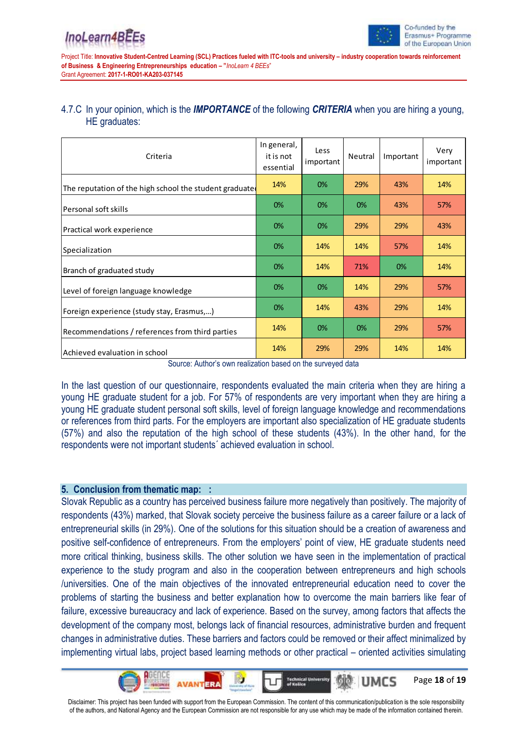Page **18** of **19**

MCS

Project Title: **Innovative Student-Centred Learning (SCL) Practices fueled with ITC-tools and university – industry cooperation towards reinforcement of Business & Engineering Entrepreneurships education – "***InoLearn 4 BEEs*" Grant Agreement: **2017-1-RO01-KA203-037145**

## 4.7.C In your opinion, which is the *IMPORTANCE* of the following *CRITERIA* when you are hiring a young, HE graduates:

| Criteria                                               | In general,<br>it is not<br>essential | Less<br>important | Neutral | Important | Very<br>important |
|--------------------------------------------------------|---------------------------------------|-------------------|---------|-----------|-------------------|
| The reputation of the high school the student graduate | 14%                                   | 0%                | 29%     | 43%       | 14%               |
| Personal soft skills                                   | 0%                                    | 0%                | 0%      | 43%       | 57%               |
| Practical work experience                              | 0%                                    | 0%                | 29%     | 29%       | 43%               |
| Specialization                                         | 0%                                    | 14%               | 14%     | 57%       | 14%               |
| Branch of graduated study                              | 0%                                    | 14%               | 71%     | 0%        | 14%               |
| Level of foreign language knowledge                    | 0%                                    | 0%                | 14%     | 29%       | 57%               |
| Foreign experience (study stay, Erasmus,)              | 0%                                    | 14%               | 43%     | 29%       | 14%               |
| Recommendations / references from third parties        | 14%                                   | 0%                | 0%      | 29%       | 57%               |
| Achieved evaluation in school                          | 14%                                   | 29%               | 29%     | 14%       | 14%               |

Source: Author's own realization based on the surveyed data

In the last question of our questionnaire, respondents evaluated the main criteria when they are hiring a young HE graduate student for a job. For 57% of respondents are very important when they are hiring a young HE graduate student personal soft skills, level of foreign language knowledge and recommendations or references from third parts. For the employers are important also specialization of HE graduate students (57%) and also the reputation of the high school of these students (43%). In the other hand, for the respondents were not important students´ achieved evaluation in school.

## **5. Conclusion from thematic map: :**

Slovak Republic as a country has perceived business failure more negatively than positively. The majority of respondents (43%) marked, that Slovak society perceive the business failure as a career failure or a lack of entrepreneurial skills (in 29%). One of the solutions for this situation should be a creation of awareness and positive self-confidence of entrepreneurs. From the employers' point of view, HE graduate students need more critical thinking, business skills. The other solution we have seen in the implementation of practical experience to the study program and also in the cooperation between entrepreneurs and high schools /universities. One of the main objectives of the innovated entrepreneurial education need to cover the problems of starting the business and better explanation how to overcome the main barriers like fear of failure, excessive bureaucracy and lack of experience. Based on the survey, among factors that affects the development of the company most, belongs lack of financial resources, administrative burden and frequent changes in administrative duties. These barriers and factors could be removed or their affect minimalized by implementing virtual labs, project based learning methods or other practical – oriented activities simulating